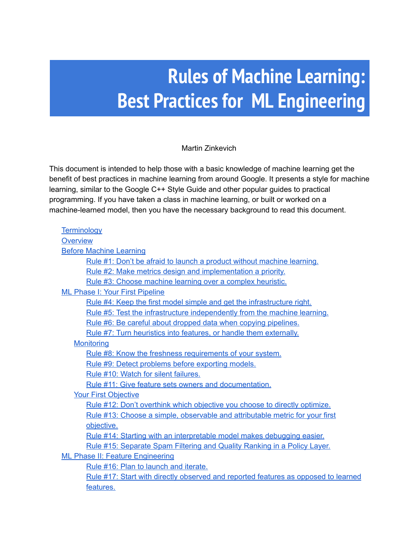# **Rules of Machine Learning: Best Practices for ML Engineering**

Martin Zinkevich

This document is intended to help those with a basic knowledge of machine learning get the benefit of best practices in machine learning from around Google. It presents a style for machine learning, similar to the Google C++ Style Guide and other popular guides to practical programming. If you have taken a class in machine learning, or built or worked on a machine-learned model, then you have the necessary background to read this document.

| Terminology                                                                               |  |
|-------------------------------------------------------------------------------------------|--|
| Overview                                                                                  |  |
| <b>Before Machine Learning</b>                                                            |  |
| Rule #1: Don't be afraid to launch a product without machine learning.                    |  |
| Rule #2: Make metrics design and implementation a priority.                               |  |
| Rule #3: Choose machine learning over a complex heuristic.                                |  |
| <b>ML Phase I: Your First Pipeline</b>                                                    |  |
| Rule #4: Keep the first model simple and get the infrastructure right.                    |  |
| Rule #5: Test the infrastructure independently from the machine learning.                 |  |
| Rule #6: Be careful about dropped data when copying pipelines.                            |  |
| Rule #7: Turn heuristics into features, or handle them externally.                        |  |
| <b>Monitoring</b>                                                                         |  |
| Rule #8: Know the freshness requirements of your system.                                  |  |
| Rule #9: Detect problems before exporting models.                                         |  |
| Rule #10: Watch for silent failures.                                                      |  |
| Rule #11: Give feature sets owners and documentation.                                     |  |
| <b>Your First Objective</b>                                                               |  |
| Rule #12: Don't overthink which objective you choose to directly optimize.                |  |
| Rule #13: Choose a simple, observable and attributable metric for your first              |  |
| objective.                                                                                |  |
| Rule #14: Starting with an interpretable model makes debugging easier.                    |  |
| Rule #15: Separate Spam Filtering and Quality Ranking in a Policy Layer.                  |  |
| <b>ML Phase II: Feature Engineering</b>                                                   |  |
| Rule #16: Plan to launch and iterate.                                                     |  |
| <u>Rule #17: Start with directly observed and reported features as opposed to learned</u> |  |
| features.                                                                                 |  |
|                                                                                           |  |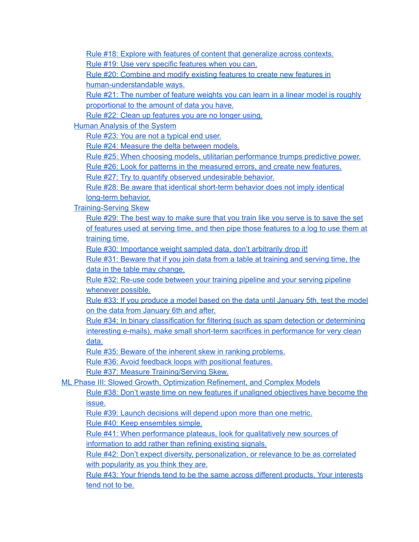Rule #18: Explore with features of content that [generalize](#page-11-0) across contexts. Rule #19: Use very specific [features](#page-11-1) when you can.

Rule #20: [Combine](#page-11-2) and modify existing features to create new features in human-understandable ways.

Rule #21: The number of feature [weights](#page-12-0) you can learn in a linear model is roughly [proportional](#page-12-0) to the amount of data you have.

Rule #22: Clean up [features](#page-13-0) you are no longer using.

Human [Analysis](#page-13-1) of the System

Rule #23: You are not a [typical](#page-13-2) end user.

Rule #24: [Measure](#page-14-0) the delta between models.

Rule #25: When choosing models, utilitarian [performance](#page-14-1) trumps predictive power.

Rule #26: Look for patterns in the [measured](#page-14-2) errors, and create new features.

Rule #27: Try to quantify observed [undesirable](#page-15-0) behavior.

Rule #28: Be aware that identical short-term behavior does not imply identical long-term behavior.

Training-Serving Skew

Rule #29: The best way to [make](#page-15-3) sure that you train like you serve is to save the set of features used at serving time, and then pipe those [features](#page-15-3) to a log to use them at [training](#page-15-3) time.

Rule #30: [Importance](#page-16-0) weight sampled data, don't arbitrarily drop it!

Rule #31: [Beware](#page-16-1) that if you join data from a table at training and serving time, the data in the table may [change.](#page-16-1)

Rule #32: Re-use code [between](#page-16-2) your training pipeline and your serving pipeline [whenever](#page-16-2) possible.

Rule #33: If you [produce](#page-16-3) a model based on the data until January 5th, test the model on the data from [January](#page-16-3) 6th and after.

Rule #34: In binary [classification](#page-17-0) for filtering (such as spam detection or determining interesting e-mails), make small short-term sacrifices in [performance](#page-17-0) for very clean [data.](#page-17-0)

Rule #35: Beware of the inherent skew in ranking [problems.](#page-17-1)

Rule #36: Avoid feedback loops with [positional](#page-18-0) features.

Rule #37: Measure [Training/Serving](#page-18-1) Skew.

ML Phase III: Slowed Growth, [Optimization](#page-18-2) Refinement, and Complex Models

Rule #38: Don't waste time on new features if unaligned [objectives](#page-19-0) have become the [issue.](#page-19-0)

Rule #39: Launch [decisions](#page-19-1) will depend upon more than one metric.

Rule #40: Keep [ensembles](#page-20-0) simple.

Rule #41: When [performance](#page-20-1) plateaus, look for qualitatively new sources of [information](#page-20-1) to add rather than refining existing signals.

Rule #42: Don't expect diversity, [personalization,](#page-21-0) or relevance to be as correlated with [popularity](#page-21-0) as you think they are.

Rule #43: Your friends tend to be the same across different [products.](#page-21-1) Your interests [tend](#page-21-1) not to be.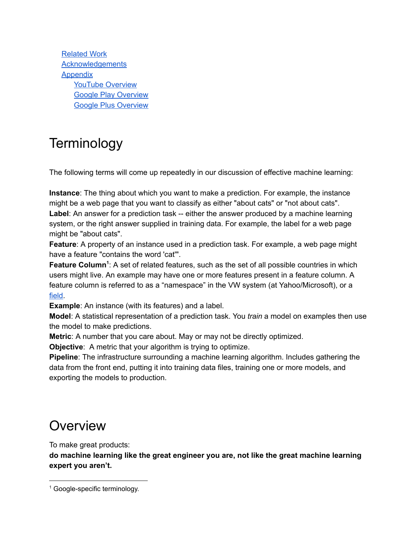[Related](#page-21-2) Work **[Acknowledgements](#page-22-0) [Appendix](#page-22-1)** YouTube [Overview](#page-22-2) Google Play [Overview](#page-22-3) Google Plus [Overview](#page-22-4)

## <span id="page-2-0"></span>**Terminology**

The following terms will come up repeatedly in our discussion of effective machine learning:

**Instance**: The thing about which you want to make a prediction. For example, the instance might be a web page that you want to classify as either "about cats" or "not about cats".

**Label**: An answer for a prediction task -- either the answer produced by a machine learning system, or the right answer supplied in training data. For example, the label for a web page might be "about cats".

**Feature**: A property of an instance used in a prediction task. For example, a web page might have a feature "contains the word 'cat'".

Feature Column<sup>1</sup>: A set of related features, such as the set of all possible countries in which users might live. An example may have one or more features present in a feature column. A feature column is referred to as a "namespace" in the VW system (at Yahoo/Microsoft), or a [field](https://www.csie.ntu.edu.tw/~cjlin/libffm/).

**Example**: An instance (with its features) and a label.

**Model**: A statistical representation of a prediction task. You *train* a model on examples then use the model to make predictions.

**Metric**: A number that you care about. May or may not be directly optimized.

**Objective**: A metric that your algorithm is trying to optimize.

**Pipeline**: The infrastructure surrounding a machine learning algorithm. Includes gathering the data from the front end, putting it into training data files, training one or more models, and exporting the models to production.

### <span id="page-2-1"></span>**Overview**

To make great products:

**do machine learning like the great engineer you are, not like the great machine learning expert you aren't.**

<sup>&</sup>lt;sup>1</sup> Google-specific terminology.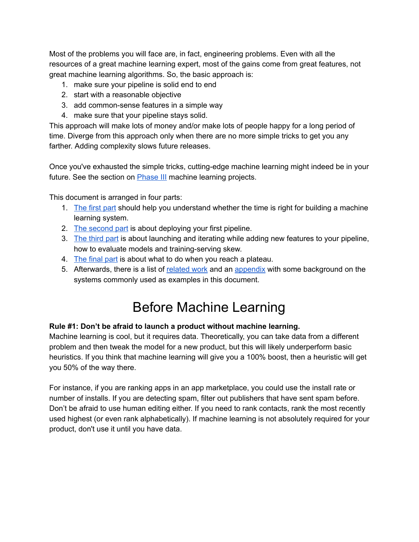Most of the problems you will face are, in fact, engineering problems. Even with all the resources of a great machine learning expert, most of the gains come from great features, not great machine learning algorithms. So, the basic approach is:

- 1. make sure your pipeline is solid end to end
- 2. start with a reasonable objective
- 3. add common-sense features in a simple way
- 4. make sure that your pipeline stays solid.

This approach will make lots of money and/or make lots of people happy for a long period of time. Diverge from this approach only when there are no more simple tricks to get you any farther. Adding complexity slows future releases.

Once you've exhausted the simple tricks, cutting-edge machine learning might indeed be in your future. See the section on [Phase](#page-18-2) III machine learning projects.

This document is arranged in four parts:

- 1. [The](#page-3-0) first part should help you understand whether the time is right for building a machine learning system.
- 2. The [second](#page-4-2) part is about deploying your first pipeline.
- 3. The [third](#page-10-0) part is about launching and iterating while adding new features to your pipeline, how to evaluate models and training-serving skew.
- 4. The [final](#page-18-2) part is about what to do when you reach a plateau.
- <span id="page-3-0"></span>5. Afterwards, there is a list of [related](#page-21-2) work and an [appendix](#page-22-1) with some background on the systems commonly used as examples in this document.

### Before Machine Learning

#### <span id="page-3-1"></span>**Rule #1: Don't be afraid to launch a product without machine learning.**

Machine learning is cool, but it requires data. Theoretically, you can take data from a different problem and then tweak the model for a new product, but this will likely underperform basic heuristics. If you think that machine learning will give you a 100% boost, then a heuristic will get you 50% of the way there.

For instance, if you are ranking apps in an app marketplace, you could use the install rate or number of installs. If you are detecting spam, filter out publishers that have sent spam before. Don't be afraid to use human editing either. If you need to rank contacts, rank the most recently used highest (or even rank alphabetically). If machine learning is not absolutely required for your product, don't use it until you have data.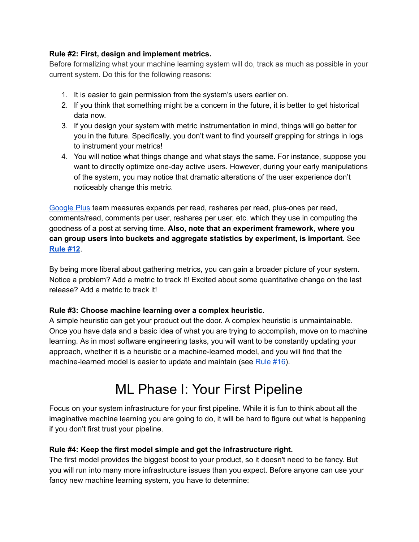#### <span id="page-4-0"></span>**Rule #2: First, design and implement metrics.**

Before formalizing what your machine learning system will do, track as much as possible in your current system. Do this for the following reasons:

- 1. It is easier to gain permission from the system's users earlier on.
- 2. If you think that something might be a concern in the future, it is better to get historical data now.
- 3. If you design your system with metric instrumentation in mind, things will go better for you in the future. Specifically, you don't want to find yourself grepping for strings in logs to instrument your metrics!
- 4. You will notice what things change and what stays the same. For instance, suppose you want to directly optimize one-day active users. However, during your early manipulations of the system, you may notice that dramatic alterations of the user experience don't noticeably change this metric.

[Google](#page-22-4) Plus team measures expands per read, reshares per read, plus-ones per read, comments/read, comments per user, reshares per user, etc. which they use in computing the goodness of a post at serving time. **Also, note that an experiment framework, where you can group users into buckets and aggregate statistics by experiment, is important**. See **[Rule](#page-8-0) #12**.

By being more liberal about gathering metrics, you can gain a broader picture of your system. Notice a problem? Add a metric to track it! Excited about some quantitative change on the last release? Add a metric to track it!

#### <span id="page-4-1"></span>**Rule #3: Choose machine learning over a complex heuristic.**

A simple heuristic can get your product out the door. A complex heuristic is unmaintainable. Once you have data and a basic idea of what you are trying to accomplish, move on to machine learning. As in most software engineering tasks, you will want to be constantly updating your approach, whether it is a heuristic or a machine-learned model, and you will find that the machine-learned model is easier to update and maintain (see [Rule](#page-10-1) #16).

## ML Phase I: Your First Pipeline

<span id="page-4-2"></span>Focus on your system infrastructure for your first pipeline. While it is fun to think about all the imaginative machine learning you are going to do, it will be hard to figure out what is happening if you don't first trust your pipeline.

#### <span id="page-4-3"></span>**Rule #4: Keep the first model simple and get the infrastructure right.**

The first model provides the biggest boost to your product, so it doesn't need to be fancy. But you will run into many more infrastructure issues than you expect. Before anyone can use your fancy new machine learning system, you have to determine: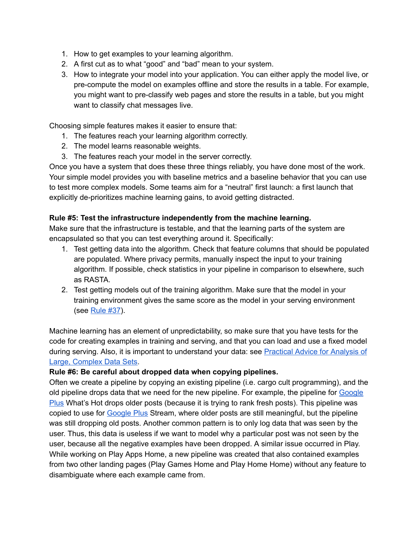- 1. How to get examples to your learning algorithm.
- 2. A first cut as to what "good" and "bad" mean to your system.
- 3. How to integrate your model into your application. You can either apply the model live, or precompute the model on examples offline and store the results in a table. For example, you might want to pre-classify web pages and store the results in a table, but you might want to classify chat messages live.

Choosing simple features makes it easier to ensure that:

- 1. The features reach your learning algorithm correctly.
- 2. The model learns reasonable weights.
- 3. The features reach your model in the server correctly.

Once you have a system that does these three things reliably, you have done most of the work. Your simple model provides you with baseline metrics and a baseline behavior that you can use to test more complex models. Some teams aim for a "neutral" first launch: a first launch that explicitly de-prioritizes machine learning gains, to avoid getting distracted.

#### <span id="page-5-0"></span>**Rule #5: Test the infrastructure independently from the machine learning.**

Make sure that the infrastructure is testable, and that the learning parts of the system are encapsulated so that you can test everything around it. Specifically:

- 1. Test getting data into the algorithm. Check that feature columns that should be populated are populated. Where privacy permits, manually inspect the input to your training algorithm. If possible, check statistics in your pipeline in comparison to elsewhere, such as RASTA.
- 2. Test getting models out of the training algorithm. Make sure that the model in your training environment gives the same score as the model in your serving environment (see [Rule](#page-18-1) #37).

Machine learning has an element of unpredictability, so make sure that you have tests for the code for creating examples in training and serving, and that you can load and use a fixed model during serving. Also, it is important to understand your data: see [Practical](http://www.unofficialgoogledatascience.com/2016/10/practical-advice-for-analysis-of-large.html) Advice for Analysis of Large, [Complex](http://www.unofficialgoogledatascience.com/2016/10/practical-advice-for-analysis-of-large.html) Data Sets.

#### <span id="page-5-1"></span>**Rule #6: Be careful about dropped data when copying pipelines.**

Often we create a pipeline by copying an existing pipeline (i.e. cargo cult programming), and the old pipeline drops data that we need for the new pipeline. For example, the pipeline for [Google](#page-22-4) [Plus](#page-22-4) What's Hot drops older posts (because it is trying to rank fresh posts). This pipeline was copied to use for [Google](#page-22-4) Plus Stream, where older posts are still meaningful, but the pipeline was still dropping old posts. Another common pattern is to only log data that was seen by the user. Thus, this data is useless if we want to model why a particular post was not seen by the user, because all the negative examples have been dropped. A similar issue occurred in Play. While working on Play Apps Home, a new pipeline was created that also contained examples from two other landing pages (Play Games Home and Play Home Home) without any feature to disambiguate where each example came from.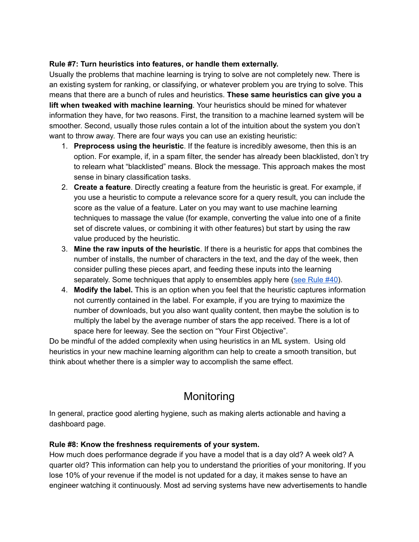#### <span id="page-6-0"></span>**Rule #7: Turn heuristics into features, or handle them externally.**

Usually the problems that machine learning is trying to solve are not completely new. There is an existing system for ranking, or classifying, or whatever problem you are trying to solve. This means that there are a bunch of rules and heuristics. **These same heuristics can give you a lift when tweaked with machine learning**. Your heuristics should be mined for whatever information they have, for two reasons. First, the transition to a machine learned system will be smoother. Second, usually those rules contain a lot of the intuition about the system you don't want to throw away. There are four ways you can use an existing heuristic:

- 1. **Preprocess using the heuristic**. If the feature is incredibly awesome, then this is an option. For example, if, in a spam filter, the sender has already been blacklisted, don't try to relearn what "blacklisted" means. Block the message. This approach makes the most sense in binary classification tasks.
- 2. **Create a feature**. Directly creating a feature from the heuristic is great. For example, if you use a heuristic to compute a relevance score for a query result, you can include the score as the value of a feature. Later on you may want to use machine learning techniques to massage the value (for example, converting the value into one of a finite set of discrete values, or combining it with other features) but start by using the raw value produced by the heuristic.
- 3. **Mine the raw inputs of the heuristic**. If there is a heuristic for apps that combines the number of installs, the number of characters in the text, and the day of the week, then consider pulling these pieces apart, and feeding these inputs into the learning separately. Some techniques that apply to ensembles apply here (see [Rule](#page-20-0) #40).
- 4. **Modify the label.** This is an option when you feel that the heuristic captures information not currently contained in the label. For example, if you are trying to maximize the number of downloads, but you also want quality content, then maybe the solution is to multiply the label by the average number of stars the app received. There is a lot of space here for leeway. See the section on "Your First Objective".

Do be mindful of the added complexity when using heuristics in an ML system. Using old heuristics in your new machine learning algorithm can help to create a smooth transition, but think about whether there is a simpler way to accomplish the same effect.

### Monitoring

<span id="page-6-1"></span>In general, practice good alerting hygiene, such as making alerts actionable and having a dashboard page.

#### <span id="page-6-2"></span>**Rule #8: Know the freshness requirements of your system.**

How much does performance degrade if you have a model that is a day old? A week old? A quarter old? This information can help you to understand the priorities of your monitoring. If you lose 10% of your revenue if the model is not updated for a day, it makes sense to have an engineer watching it continuously. Most ad serving systems have new advertisements to handle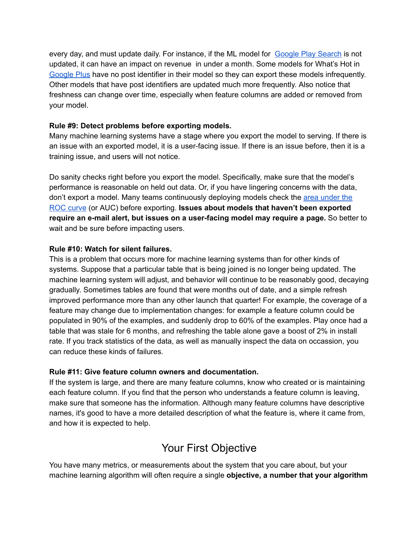every day, and must update daily. For instance, if the ML model for [Google](#page-22-3) Play Search is [not](#page-22-3) [updated,](#page-22-3) it can have an impact on revenue in under a month. Some models for What's Hot in [Google](#page-22-4) Plus have no post identifier in their model so they can export these models infrequently. Other models that have post identifiers are updated much more frequently. Also notice that freshness can change over time, especially when feature columns are added or removed from your model.

#### <span id="page-7-0"></span>**Rule #9: Detect problems before exporting models.**

Many machine learning systems have a stage where you export the model to serving. If there is an issue with an exported model, it is a user-facing issue. If there is an issue before, then it is a training issue, and users will not notice.

Do sanity checks right before you export the model. Specifically, make sure that the model's performance is reasonable on held out data. Or, if you have lingering concerns with the data, don't export a model. Many teams continuously deploying models check the area [under](https://en.wikipedia.org/wiki/Receiver_operating_characteristic) the ROC [curve](https://en.wikipedia.org/wiki/Receiver_operating_characteristic) (or AUC) before exporting. **Issues about models that haven't been exported require an email alert, but issues on a userfacing model may require a page.** So better to wait and be sure before impacting users.

#### <span id="page-7-1"></span>**Rule #10: Watch for silent failures.**

This is a problem that occurs more for machine learning systems than for other kinds of systems. Suppose that a particular table that is being joined is no longer being updated. The machine learning system will adjust, and behavior will continue to be reasonably good, decaying gradually. Sometimes tables are found that were months out of date, and a simple refresh improved performance more than any other launch that quarter! For example, the coverage of a feature may change due to implementation changes: for example a feature column could be populated in 90% of the examples, and suddenly drop to 60% of the examples. Play once had a table that was stale for 6 months, and refreshing the table alone gave a boost of 2% in install rate. If you track statistics of the data, as well as manually inspect the data on occassion, you can reduce these kinds of failures.

#### <span id="page-7-2"></span>**Rule #11: Give feature column owners and documentation.**

If the system is large, and there are many feature columns, know who created or is maintaining each feature column. If you find that the person who understands a feature column is leaving, make sure that someone has the information. Although many feature columns have descriptive names, it's good to have a more detailed description of what the feature is, where it came from, and how it is expected to help.

### Your First Objective

<span id="page-7-3"></span>You have many metrics, or measurements about the system that you care about, but your machine learning algorithm will often require a single **objective, a number that your algorithm**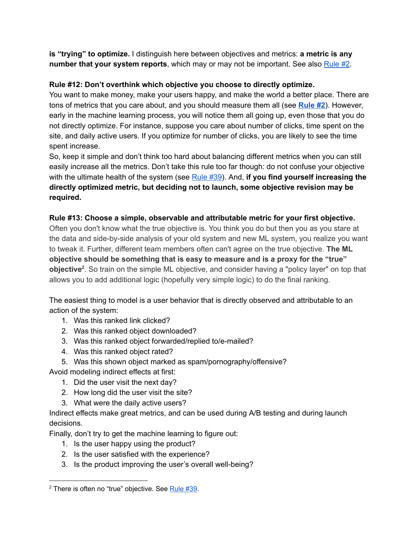**is "trying" to optimize.** I distinguish here between objectives and metrics: **a metric is any number that your system reports**, which may or may not be important. See also [Rule](#page-4-0) #2.

#### <span id="page-8-0"></span>**Rule #12: Don't overthink which objective you choose to directly optimize.**

You want to make money, make your users happy, and make the world a better place. There are tons of metrics that you care about, and you should measure them all (see **[Rule](#page-4-0) #2**). However, early in the machine learning process, you will notice them all going up, even those that you do not directly optimize. For instance, suppose you care about number of clicks, time spent on the site, and daily active users. If you optimize for number of clicks, you are likely to see the time spent increase.

So, keep it simple and don't think too hard about balancing different metrics when you can still easily increase all the metrics. Don't take this rule too far though: do not confuse your objective with the ultimate health of the system (see [Rule](#page-19-1) #39). And, **if you find yourself increasing the directly optimized metric, but deciding not to launch, some objective revision may be required.**

#### <span id="page-8-1"></span>**Rule #13: Choose a simple, observable and attributable metric for your first objective.**

Often you don't know what the true objective is. You think you do but then you as you stare at the data and side-by-side analysis of your old system and new ML system, you realize you want to tweak it. Further, different team members often can't agree on the true objective. **The ML objective should be something that is easy to measure and is a proxy for the "true" objective**<sup>2</sup>. So train on the simple ML objective, and consider having a "policy layer" on top that allows you to add additional logic (hopefully very simple logic) to do the final ranking.

The easiest thing to model is a user behavior that is directly observed and attributable to an action of the system:

- 1. Was this ranked link clicked?
- 2. Was this ranked object downloaded?
- 3. Was this ranked object forwarded/replied to/e-mailed?
- 4. Was this ranked object rated?
- 5. Was this shown object marked as spam/pornography/offensive?

Avoid modeling indirect effects at first:

- 1. Did the user visit the next day?
- 2. How long did the user visit the site?
- 3. What were the daily active users?

Indirect effects make great metrics, and can be used during A/B testing and during launch decisions.

Finally, don't try to get the machine learning to figure out:

- 1. Is the user happy using the product?
- 2. Is the user satisfied with the experience?
- 3. Is the product improving the user's overall well-being?

 $2$  There is often no "true" objective. See [Rule](#page-19-1)  $#39$ .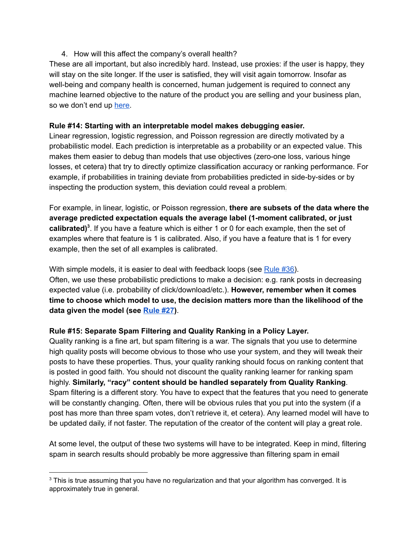#### 4. How will this affect the company's overall health?

These are all important, but also incredibly hard. Instead, use proxies: if the user is happy, they will stay on the site longer. If the user is satisfied, they will visit again tomorrow. Insofar as well-being and company health is concerned, human judgement is required to connect any machine learned objective to the nature of the product you are selling and your business plan, so we don't end up [here](https://www.youtube.com/watch?v=bq2_wSsDwkQ).

#### <span id="page-9-0"></span>**Rule #14: Starting with an interpretable model makes debugging easier.**

Linear regression, logistic regression, and Poisson regression are directly motivated by a probabilistic model. Each prediction is interpretable as a probability or an expected value. This makes them easier to debug than models that use objectives (zero-one loss, various hinge losses, et cetera) that try to directly optimize classification accuracy or ranking performance. For example, if probabilities in training deviate from probabilities predicted in side-by-sides or by inspecting the production system, this deviation could reveal a problem.

For example, in linear, logistic, or Poisson regression, **there are subsets of the data where the average predicted expectation equals the average label (1moment calibrated, or just** calibrated)<sup>3</sup>. If you have a feature which is either 1 or 0 for each example, then the set of examples where that feature is 1 is calibrated. Also, if you have a feature that is 1 for every example, then the set of all examples is calibrated.

With simple models, it is easier to deal with feedback loops (see [Rule](#page-18-0) #36). Often, we use these probabilistic predictions to make a decision: e.g. rank posts in decreasing expected value (i.e. probability of click/download/etc.). **However, remember when it comes time to choose which model to use, the decision matters more than the likelihood of the data given the model (see [Rule](#page-14-1) #27)**.

#### <span id="page-9-1"></span>**Rule #15: Separate Spam Filtering and Quality Ranking in a Policy Layer.**

Quality ranking is a fine art, but spam filtering is a war. The signals that you use to determine high quality posts will become obvious to those who use your system, and they will tweak their posts to have these properties. Thus, your quality ranking should focus on ranking content that is posted in good faith. You should not discount the quality ranking learner for ranking spam highly. **Similarly, "racy" content should be handled separately from Quality Ranking**. Spam filtering is a different story. You have to expect that the features that you need to generate will be constantly changing. Often, there will be obvious rules that you put into the system (if a post has more than three spam votes, don't retrieve it, et cetera). Any learned model will have to be updated daily, if not faster. The reputation of the creator of the content will play a great role.

At some level, the output of these two systems will have to be integrated. Keep in mind, filtering spam in search results should probably be more aggressive than filtering spam in email

<sup>&</sup>lt;sup>3</sup> This is true assuming that you have no regularization and that your algorithm has converged. It is approximately true in general.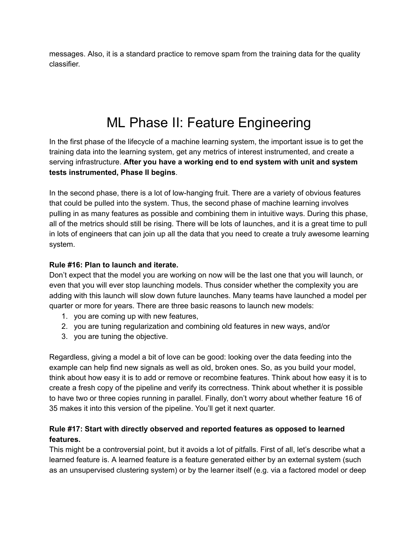messages. Also, it is a standard practice to remove spam from the training data for the quality classifier.

## ML Phase II: Feature Engineering

<span id="page-10-0"></span>In the first phase of the lifecycle of a machine learning system, the important issue is to get the training data into the learning system, get any metrics of interest instrumented, and create a serving infrastructure. **After you have a working end to end system with unit and system tests instrumented, Phase II begins**.

In the second phase, there is a lot of lowhanging fruit. There are a variety of obvious features that could be pulled into the system. Thus, the second phase of machine learning involves pulling in as many features as possible and combining them in intuitive ways. During this phase, all of the metrics should still be rising. There will be lots of launches, and it is a great time to pull in lots of engineers that can join up all the data that you need to create a truly awesome learning system.

#### <span id="page-10-1"></span>**Rule #16: Plan to launch and iterate.**

Don't expect that the model you are working on now will be the last one that you will launch, or even that you will ever stop launching models. Thus consider whether the complexity you are adding with this launch will slow down future launches. Many teams have launched a model per quarter or more for years. There are three basic reasons to launch new models:

- 1. you are coming up with new features,
- 2. you are tuning regularization and combining old features in new ways, and/or
- 3. you are tuning the objective.

Regardless, giving a model a bit of love can be good: looking over the data feeding into the example can help find new signals as well as old, broken ones. So, as you build your model, think about how easy it is to add or remove or recombine features. Think about how easy it is to create a fresh copy of the pipeline and verify its correctness. Think about whether it is possible to have two or three copies running in parallel. Finally, don't worry about whether feature 16 of 35 makes it into this version of the pipeline. You'll get it next quarter.

#### <span id="page-10-2"></span>**Rule #17: Start with directly observed and reported features as opposed to learned features.**

This might be a controversial point, but it avoids a lot of pitfalls. First of all, let's describe what a learned feature is. A learned feature is a feature generated either by an external system (such as an unsupervised clustering system) or by the learner itself (e.g. via a factored model or deep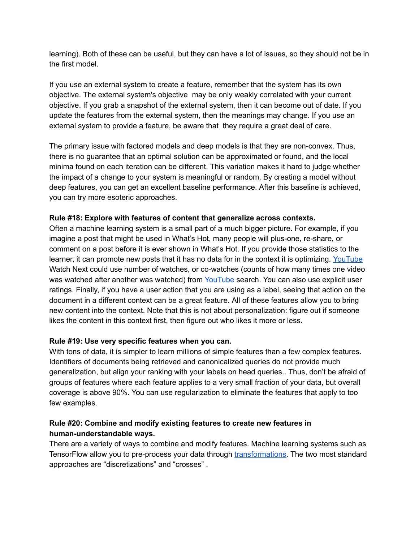learning). Both of these can be useful, but they can have a lot of issues, so they should not be in the first model.

If you use an external system to create a feature, remember that the system has its own objective. The external system's objective may be only weakly correlated with your current objective. If you grab a snapshot of the external system, then it can become out of date. If you update the features from the external system, then the meanings may change. If you use an external system to provide a feature, be aware that they require a great deal of care.

The primary issue with factored models and deep models is that they are non-convex. Thus, there is no guarantee that an optimal solution can be approximated or found, and the local minima found on each iteration can be different. This variation makes it hard to judge whether the impact of a change to your system is meaningful or random. By creating a model without deep features, you can get an excellent baseline performance. After this baseline is achieved, you can try more esoteric approaches.

#### <span id="page-11-0"></span>**Rule #18: Explore with features of content that generalize across contexts.**

Often a machine learning system is a small part of a much bigger picture. For example, if you imagine a post that might be used in What's Hot, many people will plus-one, re-share, or comment on a post before it is ever shown in What's Hot. If you provide those statistics to the learner, it can promote new posts that it has no data for in the context it is optimizing. [YouTube](#page-22-2) Watch Next could use number of watches, or co-watches (counts of how many times one video was watched after another was watched) from [YouTube](#page-22-2) search. You can also use explicit user ratings. Finally, if you have a user action that you are using as a label, seeing that action on the document in a different context can be a great feature. All of these features allow you to bring new content into the context. Note that this is not about personalization: figure out if someone likes the content in this context first, then figure out who likes it more or less.

#### <span id="page-11-1"></span>**Rule #19: Use very specific features when you can.**

With tons of data, it is simpler to learn millions of simple features than a few complex features. Identifiers of documents being retrieved and canonicalized queries do not provide much generalization, but align your ranking with your labels on head queries.. Thus, don't be afraid of groups of features where each feature applies to a very small fraction of your data, but overall coverage is above 90%. You can use regularization to eliminate the features that apply to too few examples.

#### <span id="page-11-2"></span>**Rule #20: Combine and modify existing features to create new features in human-understandable ways.**

There are a variety of ways to combine and modify features. Machine learning systems such as TensorFlow allow you to pre-process your data through [transformations.](https://www.tensorflow.org/tutorials/linear/overview.html#feature-columns-and-transformations) The two most standard approaches are "discretizations" and "crosses" .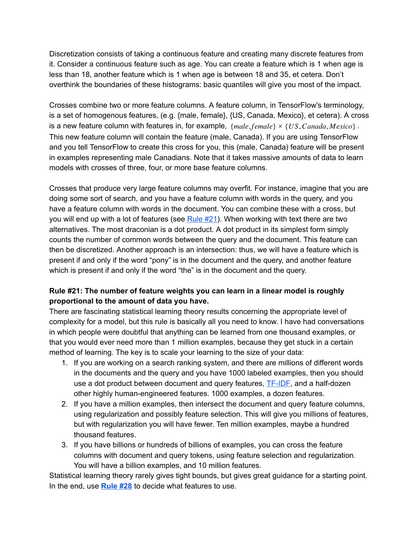Discretization consists of taking a continuous feature and creating many discrete features from it. Consider a continuous feature such as age. You can create a feature which is 1 when age is less than 18, another feature which is 1 when age is between 18 and 35, et cetera. Don't overthink the boundaries of these histograms: basic quantiles will give you most of the impact.

Crosses combine two or more feature columns. A feature column, in TensorFlow's terminology, is a set of homogenous features, (e.g. {male, female}, {US, Canada, Mexico}, et cetera). A cross is a new feature column with features in, for example, {*male*, *female*} × {*US*,*Canada*, *Mexico*} . This new feature column will contain the feature (male, Canada). If you are using TensorFlow and you tell TensorFlow to create this cross for you, this (male, Canada) feature will be present in examples representing male Canadians. Note that it takes massive amounts of data to learn models with crosses of three, four, or more base feature columns.

Crosses that produce very large feature columns may overfit. For instance, imagine that you are doing some sort of search, and you have a feature column with words in the query, and you have a feature column with words in the document. You can combine these with a cross, but you will end up with a lot of features (see [Rule](#page-12-0) #21). When working with text there are two alternatives. The most draconian is a dot product. A dot product in its simplest form simply counts the number of common words between the query and the document. This feature can then be discretized. Another approach is an intersection: thus, we will have a feature which is present if and only if the word "pony" is in the document and the query, and another feature which is present if and only if the word "the" is in the document and the query.

#### <span id="page-12-0"></span>**Rule #21: The number of feature weights you can learn in a linear model is roughly proportional to the amount of data you have.**

There are fascinating statistical learning theory results concerning the appropriate level of complexity for a model, but this rule is basically all you need to know. I have had conversations in which people were doubtful that anything can be learned from one thousand examples, or that you would ever need more than 1 million examples, because they get stuck in a certain method of learning. The key is to scale your learning to the size of your data:

- 1. If you are working on a search ranking system, and there are millions of different words in the documents and the query and you have 1000 labeled examples, then you should use a dot product between document and query features, **TF-IDF**, and a half-dozen other highly human-engineered features. 1000 examples, a dozen features.
- 2. If you have a million examples, then intersect the document and query feature columns, using regularization and possibly feature selection. This will give you millions of features, but with regularization you will have fewer. Ten million examples, maybe a hundred thousand features.
- 3. If you have billions or hundreds of billions of examples, you can cross the feature columns with document and query tokens, using feature selection and regularization. You will have a billion examples, and 10 million features.

Statistical learning theory rarely gives tight bounds, but gives great guidance for a starting point. In the end, use **[Rule](#page-14-1) #28** to decide what features to use.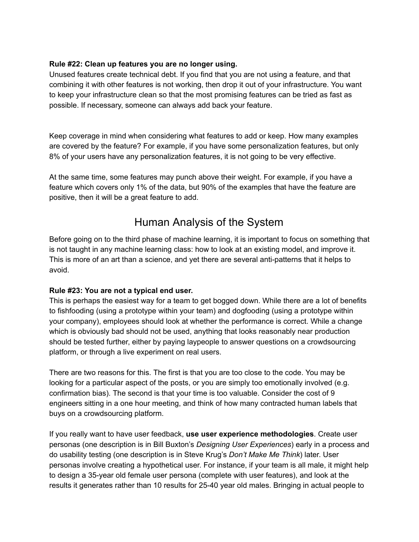#### <span id="page-13-0"></span>**Rule #22: Clean up features you are no longer using.**

Unused features create technical debt. If you find that you are not using a feature, and that combining it with other features is not working, then drop it out of your infrastructure. You want to keep your infrastructure clean so that the most promising features can be tried as fast as possible. If necessary, someone can always add back your feature.

Keep coverage in mind when considering what features to add or keep. How many examples are covered by the feature? For example, if you have some personalization features, but only 8% of your users have any personalization features, it is not going to be very effective.

<span id="page-13-1"></span>At the same time, some features may punch above their weight. For example, if you have a feature which covers only 1% of the data, but 90% of the examples that have the feature are positive, then it will be a great feature to add.

### Human Analysis of the System

Before going on to the third phase of machine learning, it is important to focus on something that is not taught in any machine learning class: how to look at an existing model, and improve it. This is more of an art than a science, and yet there are several anti-patterns that it helps to avoid.

#### <span id="page-13-2"></span>**Rule #23: You are not a typical end user.**

This is perhaps the easiest way for a team to get bogged down. While there are a lot of benefits to fishfooding (using a prototype within your team) and dogfooding (using a prototype within your company), employees should look at whether the performance is correct. While a change which is obviously bad should not be used, anything that looks reasonably near production should be tested further, either by paying laypeople to answer questions on a crowdsourcing platform, or through a live experiment on real users.

There are two reasons for this. The first is that you are too close to the code. You may be looking for a particular aspect of the posts, or you are simply too emotionally involved (e.g. confirmation bias). The second is that your time is too valuable. Consider the cost of 9 engineers sitting in a one hour meeting, and think of how many contracted human labels that buys on a crowdsourcing platform.

If you really want to have user feedback, **use user experience methodologies**. Create user personas (one description is in Bill Buxton's *Designing User Experiences*) early in a process and do usability testing (one description is in Steve Krug's *Don't Make Me Think*) later. User personas involve creating a hypothetical user. For instance, if your team is all male, it might help to design a 35-year old female user persona (complete with user features), and look at the results it generates rather than 10 results for 25-40 year old males. Bringing in actual people to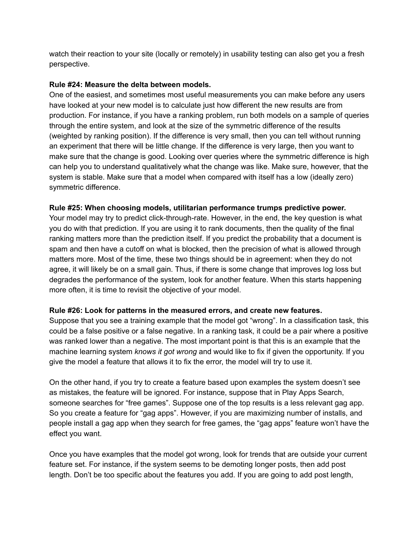watch their reaction to your site (locally or remotely) in usability testing can also get you a fresh perspective.

#### <span id="page-14-0"></span>**Rule #24: Measure the delta between models.**

One of the easiest, and sometimes most useful measurements you can make before any users have looked at your new model is to calculate just how different the new results are from production. For instance, if you have a ranking problem, run both models on a sample of queries through the entire system, and look at the size of the symmetric difference of the results (weighted by ranking position). If the difference is very small, then you can tell without running an experiment that there will be little change. If the difference is very large, then you want to make sure that the change is good. Looking over queries where the symmetric difference is high can help you to understand qualitatively what the change was like. Make sure, however, that the system is stable. Make sure that a model when compared with itself has a low (ideally zero) symmetric difference.

#### <span id="page-14-1"></span>**Rule #25: When choosing models, utilitarian performance trumps predictive power.**

Your model may try to predict click-through-rate. However, in the end, the key question is what you do with that prediction. If you are using it to rank documents, then the quality of the final ranking matters more than the prediction itself. If you predict the probability that a document is spam and then have a cutoff on what is blocked, then the precision of what is allowed through matters more. Most of the time, these two things should be in agreement: when they do not agree, it will likely be on a small gain. Thus, if there is some change that improves log loss but degrades the performance of the system, look for another feature. When this starts happening more often, it is time to revisit the objective of your model.

#### <span id="page-14-2"></span>**Rule #26: Look for patterns in the measured errors, and create new features.**

Suppose that you see a training example that the model got "wrong". In a classification task, this could be a false positive or a false negative. In a ranking task, it could be a pair where a positive was ranked lower than a negative. The most important point is that this is an example that the machine learning system *knows it got wrong* and would like to fix if given the opportunity. If you give the model a feature that allows it to fix the error, the model will try to use it.

On the other hand, if you try to create a feature based upon examples the system doesn't see as mistakes, the feature will be ignored. For instance, suppose that in Play Apps Search, someone searches for "free games". Suppose one of the top results is a less relevant gag app. So you create a feature for "gag apps". However, if you are maximizing number of installs, and people install a gag app when they search for free games, the "gag apps" feature won't have the effect you want.

Once you have examples that the model got wrong, look for trends that are outside your current feature set. For instance, if the system seems to be demoting longer posts, then add post length. Don't be too specific about the features you add. If you are going to add post length,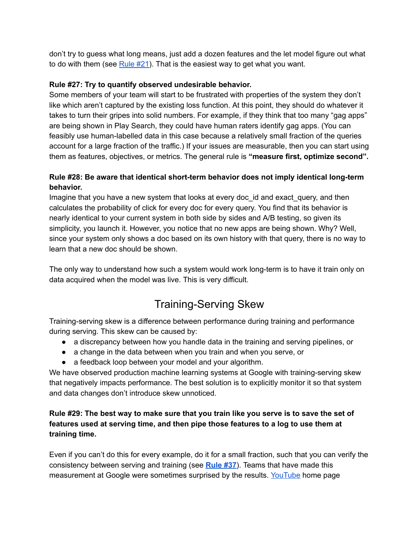don't try to guess what long means, just add a dozen features and the let model figure out what to do with them (see  $Rule #21$  $Rule #21$ ). That is the easiest way to get what you want.

#### <span id="page-15-0"></span>**Rule #27: Try to quantify observed undesirable behavior.**

Some members of your team will start to be frustrated with properties of the system they don't like which aren't captured by the existing loss function. At this point, they should do whatever it takes to turn their gripes into solid numbers. For example, if they think that too many "gag apps" are being shown in Play Search, they could have human raters identify gag apps. (You can feasibly use human-labelled data in this case because a relatively small fraction of the queries account for a large fraction of the traffic.) If your issues are measurable, then you can start using them as features, objectives, or metrics. The general rule is **"measure first, optimize second".**

#### <span id="page-15-1"></span>**Rule** #28: Be aware that identical short-term behavior does not imply identical long-term **behavior.**

Imagine that you have a new system that looks at every doc id and exact query, and then calculates the probability of click for every doc for every query. You find that its behavior is nearly identical to your current system in both side by sides and A/B testing, so given its simplicity, you launch it. However, you notice that no new apps are being shown. Why? Well, since your system only shows a doc based on its own history with that query, there is no way to learn that a new doc should be shown.

<span id="page-15-2"></span>The only way to understand how such a system would work long-term is to have it train only on data acquired when the model was live. This is very difficult.

### Training-Serving Skew

Training-serving skew is a difference between performance during training and performance during serving. This skew can be caused by:

- a discrepancy between how you handle data in the training and serving pipelines, or
- a change in the data between when you train and when you serve, or
- a feedback loop between your model and your algorithm.

We have observed production machine learning systems at Google with training-serving skew that negatively impacts performance. The best solution is to explicitly monitor it so that system and data changes don't introduce skew unnoticed.

#### <span id="page-15-3"></span>Rule #29: The best way to make sure that you train like you serve is to save the set of **features used at serving time, and then pipe those features to a log to use them at training time.**

Even if you can't do this for every example, do it for a small fraction, such that you can verify the consistency between serving and training (see **[Rule](#page-18-1) #37**). Teams that have made this measurement at Google were sometimes surprised by the results. [YouTube](#page-22-2) home page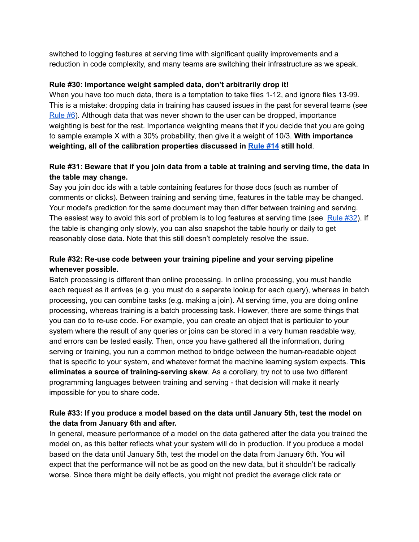switched to logging features at serving time with significant quality improvements and a reduction in code complexity, and many teams are switching their infrastructure as we speak.

#### <span id="page-16-0"></span>**Rule #30: Importance weight sampled data, don't arbitrarily drop it!**

When you have too much data, there is a temptation to take files 1-12, and ignore files 13-99. This is a mistake: dropping data in training has caused issues in the past for several teams (see [Rule](#page-5-1) #6). Although data that was never shown to the user can be dropped, importance weighting is best for the rest. Importance weighting means that if you decide that you are going to sample example X with a 30% probability, then give it a weight of 10/3. **With importance weighting, all of the calibration properties discussed in [Rule](#page-9-0) #14 still hold**.

#### <span id="page-16-1"></span>Rule #31: Beware that if you join data from a table at training and serving time, the data in **the table may change.**

Say you join doc ids with a table containing features for those docs (such as number of comments or clicks). Between training and serving time, features in the table may be changed. Your model's prediction for the same document may then differ between training and serving. The easiest way to avoid this sort of problem is to log features at serving time (see [Rule](#page-15-3) #32). If the table is changing only slowly, you can also snapshot the table hourly or daily to get reasonably close data. Note that this still doesn't completely resolve the issue.

#### <span id="page-16-2"></span>**Rule #32: Re-use code between your training pipeline and your serving pipeline whenever possible.**

Batch processing is different than online processing. In online processing, you must handle each request as it arrives (e.g. you must do a separate lookup for each query), whereas in batch processing, you can combine tasks (e.g. making a join). At serving time, you are doing online processing, whereas training is a batch processing task. However, there are some things that you can do to re-use code. For example, you can create an object that is particular to your system where the result of any queries or joins can be stored in a very human readable way, and errors can be tested easily. Then, once you have gathered all the information, during serving or training, you run a common method to bridge between the human-readable object that is specific to your system, and whatever format the machine learning system expects. **This eliminates a** source of training-serving skew. As a corollary, try not to use two different programming languages between training and serving - that decision will make it nearly impossible for you to share code.

#### <span id="page-16-3"></span>**Rule #33: If you produce a model based on the data until January 5th, test the model on the data from January 6th and after.**

In general, measure performance of a model on the data gathered after the data you trained the model on, as this better reflects what your system will do in production. If you produce a model based on the data until January 5th, test the model on the data from January 6th. You will expect that the performance will not be as good on the new data, but it shouldn't be radically worse. Since there might be daily effects, you might not predict the average click rate or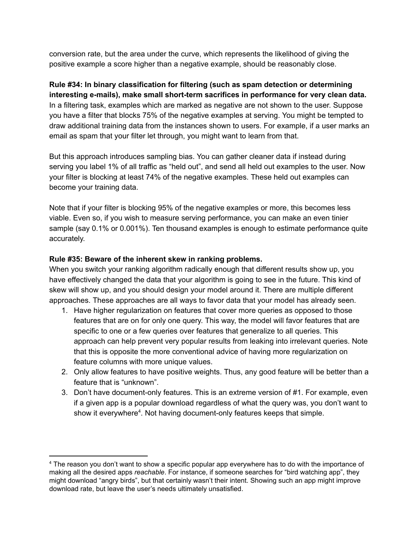conversion rate, but the area under the curve, which represents the likelihood of giving the positive example a score higher than a negative example, should be reasonably close.

<span id="page-17-0"></span>**Rule #34: In binary classification for filtering (such as spam detection or determining interesting e-mails), make small short-term sacrifices in performance for very clean data.** In a filtering task, examples which are marked as negative are not shown to the user. Suppose you have a filter that blocks 75% of the negative examples at serving. You might be tempted to draw additional training data from the instances shown to users. For example, if a user marks an email as spam that your filter let through, you might want to learn from that.

But this approach introduces sampling bias. You can gather cleaner data if instead during serving you label 1% of all traffic as "held out", and send all held out examples to the user. Now your filter is blocking at least 74% of the negative examples. These held out examples can become your training data.

Note that if your filter is blocking 95% of the negative examples or more, this becomes less viable. Even so, if you wish to measure serving performance, you can make an even tinier sample (say 0.1% or 0.001%). Ten thousand examples is enough to estimate performance quite accurately.

#### <span id="page-17-1"></span>**Rule #35: Beware of the inherent skew in ranking problems.**

When you switch your ranking algorithm radically enough that different results show up, you have effectively changed the data that your algorithm is going to see in the future. This kind of skew will show up, and you should design your model around it. There are multiple different approaches. These approaches are all ways to favor data that your model has already seen.

- 1. Have higher regularization on features that cover more queries as opposed to those features that are on for only one query. This way, the model will favor features that are specific to one or a few queries over features that generalize to all queries. This approach can help prevent very popular results from leaking into irrelevant queries. Note that this is opposite the more conventional advice of having more regularization on feature columns with more unique values.
- 2. Only allow features to have positive weights. Thus, any good feature will be better than a feature that is "unknown".
- 3. Don't have document-only features. This is an extreme version of #1. For example, even if a given app is a popular download regardless of what the query was, you don't want to show it everywhere<sup>4</sup>. Not having document-only features keeps that simple.

<sup>4</sup> The reason you don't want to show a specific popular app everywhere has to do with the importance of making all the desired apps *reachable*. For instance, if someone searches for "bird watching app", they might download "angry birds", but that certainly wasn't their intent. Showing such an app might improve download rate, but leave the user's needs ultimately unsatisfied.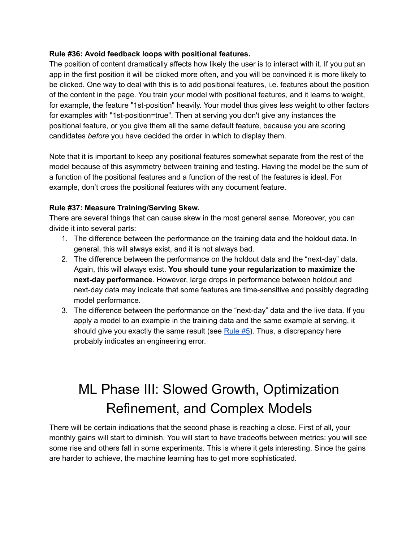#### <span id="page-18-0"></span>**Rule #36: Avoid feedback loops with positional features.**

The position of content dramatically affects how likely the user is to interact with it. If you put an app in the first position it will be clicked more often, and you will be convinced it is more likely to be clicked. One way to deal with this is to add positional features, i.e. features about the position of the content in the page. You train your model with positional features, and it learns to weight, for example, the feature "1st-position" heavily. Your model thus gives less weight to other factors for examples with "1st-position=true". Then at serving you don't give any instances the positional feature, or you give them all the same default feature, because you are scoring candidates *before* you have decided the order in which to display them.

Note that it is important to keep any positional features somewhat separate from the rest of the model because of this asymmetry between training and testing. Having the model be the sum of a function of the positional features and a function of the rest of the features is ideal. For example, don't cross the positional features with any document feature.

#### <span id="page-18-1"></span>**Rule #37: Measure Training/Serving Skew.**

There are several things that can cause skew in the most general sense. Moreover, you can divide it into several parts:

- 1. The difference between the performance on the training data and the holdout data. In general, this will always exist, and it is not always bad.
- 2. The difference between the performance on the holdout data and the "next-day" data. Again, this will always exist. **You should tune your regularization to maximize the next-day performance**. However, large drops in performance between holdout and next-day data may indicate that some features are time-sensitive and possibly degrading model performance.
- 3. The difference between the performance on the "next-day" data and the live data. If you apply a model to an example in the training data and the same example at serving, it should give you exactly the same result (see  $Rule #5$  $Rule #5$ ). Thus, a discrepancy here probably indicates an engineering error.

## <span id="page-18-2"></span>ML Phase III: Slowed Growth, Optimization Refinement, and Complex Models

There will be certain indications that the second phase is reaching a close. First of all, your monthly gains will start to diminish. You will start to have tradeoffs between metrics: you will see some rise and others fall in some experiments. This is where it gets interesting. Since the gains are harder to achieve, the machine learning has to get more sophisticated.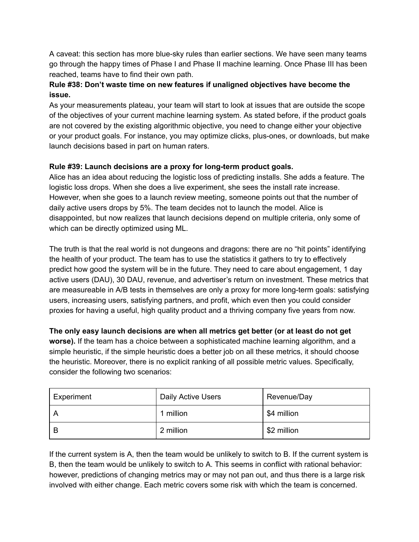A caveat: this section has more blue-sky rules than earlier sections. We have seen many teams go through the happy times of Phase I and Phase II machine learning. Once Phase III has been reached, teams have to find their own path.

#### <span id="page-19-0"></span>**Rule #38: Don't waste time on new features if unaligned objectives have become the issue.**

As your measurements plateau, your team will start to look at issues that are outside the scope of the objectives of your current machine learning system. As stated before, if the product goals are not covered by the existing algorithmic objective, you need to change either your objective or your product goals. For instance, you may optimize clicks, plus-ones, or downloads, but make launch decisions based in part on human raters.

#### <span id="page-19-1"></span>**Rule** #39: Launch decisions are a proxy for long-term product goals.

Alice has an idea about reducing the logistic loss of predicting installs. She adds a feature. The logistic loss drops. When she does a live experiment, she sees the install rate increase. However, when she goes to a launch review meeting, someone points out that the number of daily active users drops by 5%. The team decides not to launch the model. Alice is disappointed, but now realizes that launch decisions depend on multiple criteria, only some of which can be directly optimized using ML.

The truth is that the real world is not dungeons and dragons: there are no "hit points" identifying the health of your product. The team has to use the statistics it gathers to try to effectively predict how good the system will be in the future. They need to care about engagement, 1 day active users (DAU), 30 DAU, revenue, and advertiser's return on investment. These metrics that are measureable in A/B tests in themselves are only a proxy for more long-term goals: satisfying users, increasing users, satisfying partners, and profit, which even then you could consider proxies for having a useful, high quality product and a thriving company five years from now.

**The only easy launch decisions are when all metrics get better (or at least do not get worse).** If the team has a choice between a sophisticated machine learning algorithm, and a simple heuristic, if the simple heuristic does a better job on all these metrics, it should choose the heuristic. Moreover, there is no explicit ranking of all possible metric values. Specifically, consider the following two scenarios:

| Experiment | Daily Active Users | Revenue/Day |
|------------|--------------------|-------------|
|            | 1 million          | \$4 million |
|            | 2 million          | \$2 million |

If the current system is A, then the team would be unlikely to switch to B. If the current system is B, then the team would be unlikely to switch to A. This seems in conflict with rational behavior: however, predictions of changing metrics may or may not pan out, and thus there is a large risk involved with either change. Each metric covers some risk with which the team is concerned.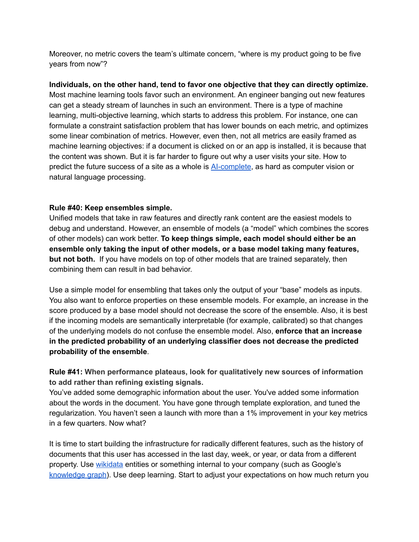Moreover, no metric covers the team's ultimate concern, "where is my product going to be five years from now"?

**Individuals, on the other hand, tend to favor one objective that they can directly optimize.** Most machine learning tools favor such an environment. An engineer banging out new features can get a steady stream of launches in such an environment. There is a type of machine learning, multi-objective learning, which starts to address this problem. For instance, one can formulate a constraint satisfaction problem that has lower bounds on each metric, and optimizes some linear combination of metrics. However, even then, not all metrics are easily framed as machine learning objectives: if a document is clicked on or an app is installed, it is because that the content was shown. But it is far harder to figure out why a user visits your site. How to predict the future success of a site as a whole is [AIcomplete,](https://en.wikipedia.org/wiki/AI-complete) as hard as computer vision or natural language processing.

#### <span id="page-20-0"></span>**Rule #40: Keep ensembles simple.**

Unified models that take in raw features and directly rank content are the easiest models to debug and understand. However, an ensemble of models (a "model" which combines the scores of other models) can work better. **To keep things simple, each model should either be an ensemble only taking the input of other models, or a base model taking many features, but not both.** If you have models on top of other models that are trained separately, then combining them can result in bad behavior.

Use a simple model for ensembling that takes only the output of your "base" models as inputs. You also want to enforce properties on these ensemble models. For example, an increase in the score produced by a base model should not decrease the score of the ensemble. Also, it is best if the incoming models are semantically interpretable (for example, calibrated) so that changes of the underlying models do not confuse the ensemble model. Also, **enforce that an increase in the predicted probability of an underlying classifier does not decrease the predicted probability of the ensemble**.

#### <span id="page-20-1"></span>**Rule #41: When performance plateaus, look for qualitatively new sources of information to add rather than refining existing signals.**

You've added some demographic information about the user. You've added some information about the words in the document. You have gone through template exploration, and tuned the regularization. You haven't seen a launch with more than a 1% improvement in your key metrics in a few quarters. Now what?

It is time to start building the infrastructure for radically different features, such as the history of documents that this user has accessed in the last day, week, or year, or data from a different property. Use [wikidata](https://en.wikipedia.org/wiki/Wikidata) entities or something internal to your company (such as Google's [knowledge](https://en.wikipedia.org/wiki/Knowledge_Graph) graph). Use deep learning. Start to adjust your expectations on how much return you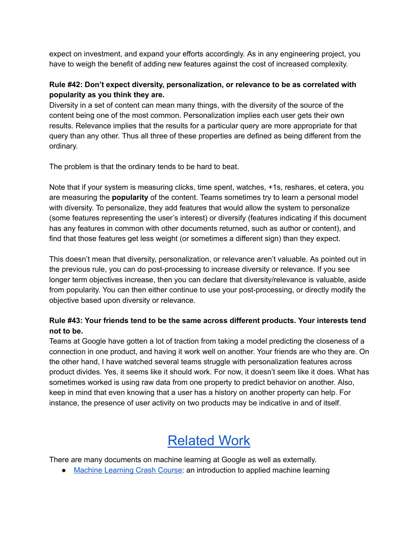expect on investment, and expand your efforts accordingly. As in any engineering project, you have to weigh the benefit of adding new features against the cost of increased complexity.

#### <span id="page-21-0"></span>**Rule #42: Don't expect diversity, personalization, or relevance to be as correlated with popularity as you think they are.**

Diversity in a set of content can mean many things, with the diversity of the source of the content being one of the most common. Personalization implies each user gets their own results. Relevance implies that the results for a particular query are more appropriate for that query than any other. Thus all three of these properties are defined as being different from the ordinary.

The problem is that the ordinary tends to be hard to beat.

Note that if your system is measuring clicks, time spent, watches, +1s, reshares, et cetera, you are measuring the **popularity** of the content. Teams sometimes try to learn a personal model with diversity. To personalize, they add features that would allow the system to personalize (some features representing the user's interest) or diversify (features indicating if this document has any features in common with other documents returned, such as author or content), and find that those features get less weight (or sometimes a different sign) than they expect.

This doesn't mean that diversity, personalization, or relevance aren't valuable. As pointed out in the previous rule, you can do post-processing to increase diversity or relevance. If you see longer term objectives increase, then you can declare that diversity/relevance is valuable, aside from popularity. You can then either continue to use your post-processing, or directly modify the objective based upon diversity or relevance.

#### <span id="page-21-1"></span>**Rule #43: Your friends tend to be the same across different products. Your interests tend not to be.**

Teams at Google have gotten a lot of traction from taking a model predicting the closeness of a connection in one product, and having it work well on another. Your friends are who they are. On the other hand, I have watched several teams struggle with personalization features across product divides. Yes, it seems like it should work. For now, it doesn't seem like it does. What has sometimes worked is using raw data from one property to predict behavior on another. Also, keep in mind that even knowing that a user has a history on another property can help. For instance, the presence of user activity on two products may be indicative in and of itself.

## [Related](http://go/ml) Work

<span id="page-21-2"></span>There are many documents on machine learning at Google as well as externally.

• Machine [Learning](https://developers.google.com/machine-learning/crash-course) Crash Course: an introduction to applied machine learning